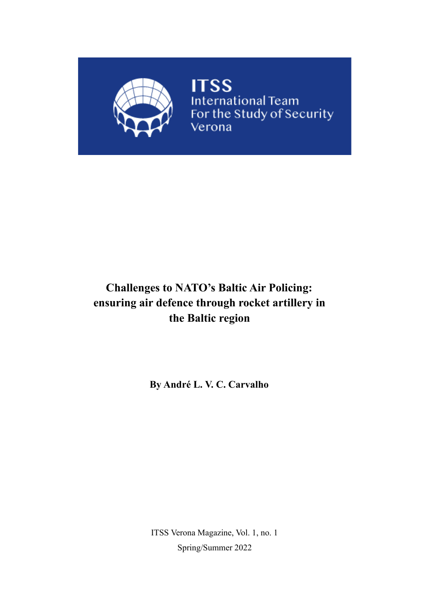

# **Challenges to NATO's Baltic Air Policing: ensuring air defence through rocket artillery in the Baltic region**

**By André L. V. C. Carvalho**

ITSS Verona Magazine, Vol. 1, no. 1 Spring/Summer 2022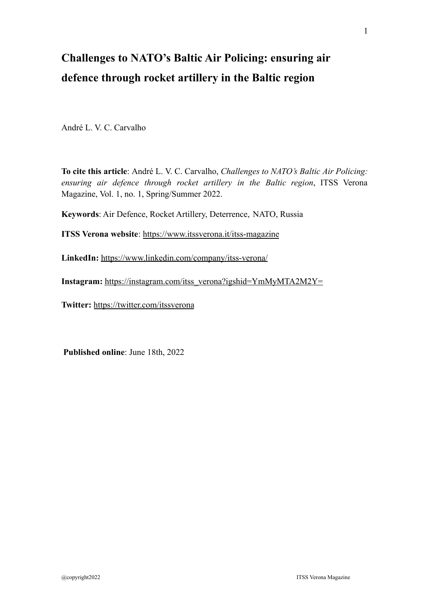# **Challenges to NATO's Baltic Air Policing: ensuring air defence through rocket artillery in the Baltic region**

André L. V. C. Carvalho

**To cite this article**: André L. V. C. Carvalho, *Challenges to NATO's Baltic Air Policing: ensuring air defence through rocket artillery in the Baltic region*, ITSS Verona Magazine, Vol. 1, no. 1, Spring/Summer 2022.

**Keywords**: Air Defence, Rocket Artillery, Deterrence, NATO, Russia

**ITSS Verona website**:<https://www.itssverona.it/itss-magazine>

**LinkedIn:** <https://www.linkedin.com/company/itss-verona/>

**Instagram:** [https://instagram.com/itss\\_verona?igshid=YmMyMTA2M2Y=](https://instagram.com/itss_verona?igshid=YmMyMTA2M2Y=)

**Twitter:** <https://twitter.com/itssverona>

**Published online**: June 18th, 2022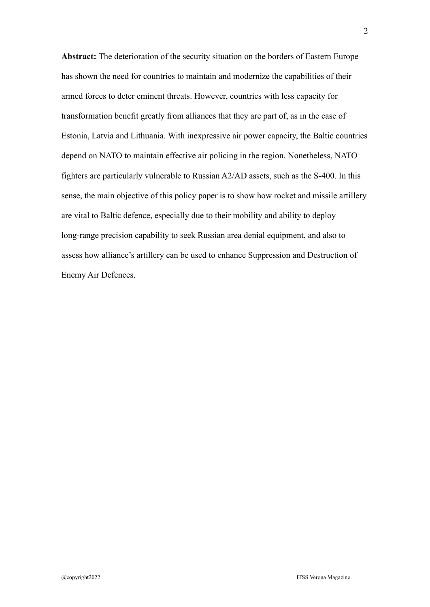**Abstract:** The deterioration of the security situation on the borders of Eastern Europe has shown the need for countries to maintain and modernize the capabilities of their armed forces to deter eminent threats. However, countries with less capacity for transformation benefit greatly from alliances that they are part of, as in the case of Estonia, Latvia and Lithuania. With inexpressive air power capacity, the Baltic countries depend on NATO to maintain effective air policing in the region. Nonetheless, NATO fighters are particularly vulnerable to Russian A2/AD assets, such as the S-400. In this sense, the main objective of this policy paper is to show how rocket and missile artillery are vital to Baltic defence, especially due to their mobility and ability to deploy long-range precision capability to seek Russian area denial equipment, and also to assess how alliance's artillery can be used to enhance Suppression and Destruction of Enemy Air Defences.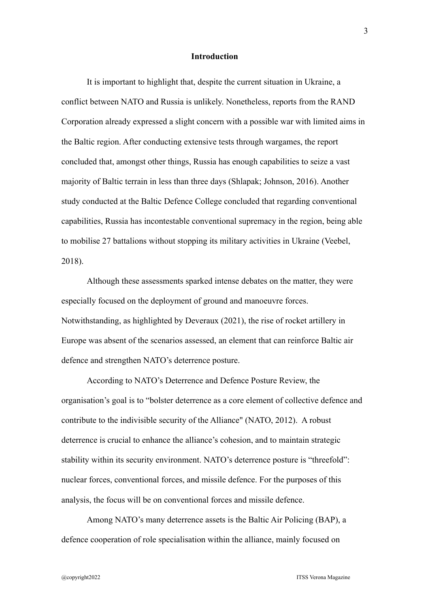#### **Introduction**

It is important to highlight that, despite the current situation in Ukraine, a conflict between NATO and Russia is unlikely. Nonetheless, reports from the RAND Corporation already expressed a slight concern with a possible war with limited aims in the Baltic region. After conducting extensive tests through wargames, the report concluded that, amongst other things, Russia has enough capabilities to seize a vast majority of Baltic terrain in less than three days (Shlapak; Johnson, 2016). Another study conducted at the Baltic Defence College concluded that regarding conventional capabilities, Russia has incontestable conventional supremacy in the region, being able to mobilise 27 battalions without stopping its military activities in Ukraine (Veebel, 2018).

Although these assessments sparked intense debates on the matter, they were especially focused on the deployment of ground and manoeuvre forces. Notwithstanding, as highlighted by Deveraux (2021), the rise of rocket artillery in Europe was absent of the scenarios assessed, an element that can reinforce Baltic air defence and strengthen NATO's deterrence posture.

According to NATO's Deterrence and Defence Posture Review, the organisation's goal is to "bolster deterrence as a core element of collective defence and contribute to the indivisible security of the Alliance" (NATO, 2012). A robust deterrence is crucial to enhance the alliance's cohesion, and to maintain strategic stability within its security environment. NATO's deterrence posture is "threefold": nuclear forces, conventional forces, and missile defence. For the purposes of this analysis, the focus will be on conventional forces and missile defence.

Among NATO's many deterrence assets is the Baltic Air Policing (BAP), a defence cooperation of role specialisation within the alliance, mainly focused on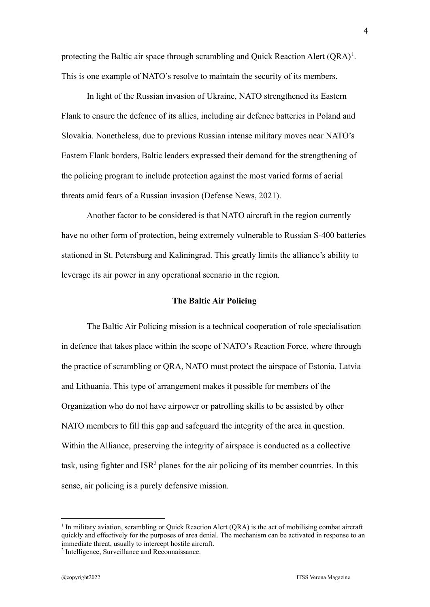protecting the Baltic air space through scrambling and Quick Reaction Alert  $(QRA)^1$ . This is one example of NATO's resolve to maintain the security of its members.

In light of the Russian invasion of Ukraine, NATO strengthened its Eastern Flank to ensure the defence of its allies, including air defence batteries in Poland and Slovakia. Nonetheless, due to previous Russian intense military moves near NATO's Eastern Flank borders, Baltic leaders expressed their demand for the strengthening of the policing program to include protection against the most varied forms of aerial threats amid fears of a Russian invasion (Defense News, 2021).

Another factor to be considered is that NATO aircraft in the region currently have no other form of protection, being extremely vulnerable to Russian S-400 batteries stationed in St. Petersburg and Kaliningrad. This greatly limits the alliance's ability to leverage its air power in any operational scenario in the region.

### **The Baltic Air Policing**

The Baltic Air Policing mission is a technical cooperation of role specialisation in defence that takes place within the scope of NATO's Reaction Force, where through the practice of scrambling or QRA, NATO must protect the airspace of Estonia, Latvia and Lithuania. This type of arrangement makes it possible for members of the Organization who do not have airpower or patrolling skills to be assisted by other NATO members to fill this gap and safeguard the integrity of the area in question. Within the Alliance, preserving the integrity of airspace is conducted as a collective task, using fighter and  $ISR<sup>2</sup>$  planes for the air policing of its member countries. In this sense, air policing is a purely defensive mission.

<sup>&</sup>lt;sup>1</sup> In military aviation, scrambling or Quick Reaction Alert (QRA) is the act of mobilising combat aircraft quickly and effectively for the purposes of area denial. The mechanism can be activated in response to an immediate threat, usually to intercept hostile aircraft.

<sup>2</sup> Intelligence, Surveillance and Reconnaissance.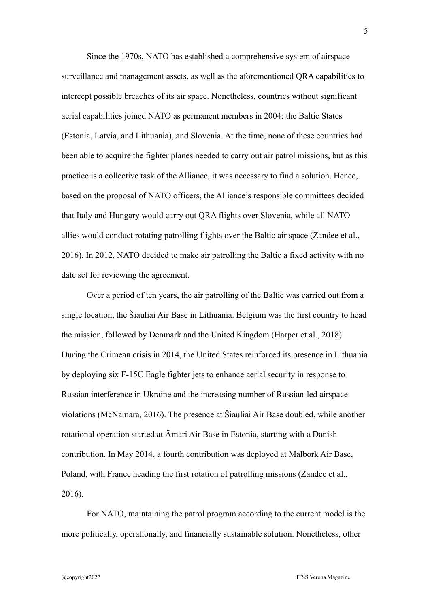Since the 1970s, NATO has established a comprehensive system of airspace surveillance and management assets, as well as the aforementioned QRA capabilities to intercept possible breaches of its air space. Nonetheless, countries without significant aerial capabilities joined NATO as permanent members in 2004: the Baltic States (Estonia, Latvia, and Lithuania), and Slovenia. At the time, none of these countries had been able to acquire the fighter planes needed to carry out air patrol missions, but as this practice is a collective task of the Alliance, it was necessary to find a solution. Hence, based on the proposal of NATO officers, the Alliance's responsible committees decided that Italy and Hungary would carry out QRA flights over Slovenia, while all NATO allies would conduct rotating patrolling flights over the Baltic air space (Zandee et al., 2016). In 2012, NATO decided to make air patrolling the Baltic a fixed activity with no date set for reviewing the agreement.

Over a period of ten years, the air patrolling of the Baltic was carried out from a single location, the Šiauliai Air Base in Lithuania. Belgium was the first country to head the mission, followed by Denmark and the United Kingdom (Harper et al., 2018). During the Crimean crisis in 2014, the United States reinforced its presence in Lithuania by deploying six F-15C Eagle fighter jets to enhance aerial security in response to Russian interference in Ukraine and the increasing number of Russian-led airspace violations (McNamara, 2016). The presence at Šiauliai Air Base doubled, while another rotational operation started at Ämari Air Base in Estonia, starting with a Danish contribution. In May 2014, a fourth contribution was deployed at Malbork Air Base, Poland, with France heading the first rotation of patrolling missions (Zandee et al., 2016).

For NATO, maintaining the patrol program according to the current model is the more politically, operationally, and financially sustainable solution. Nonetheless, other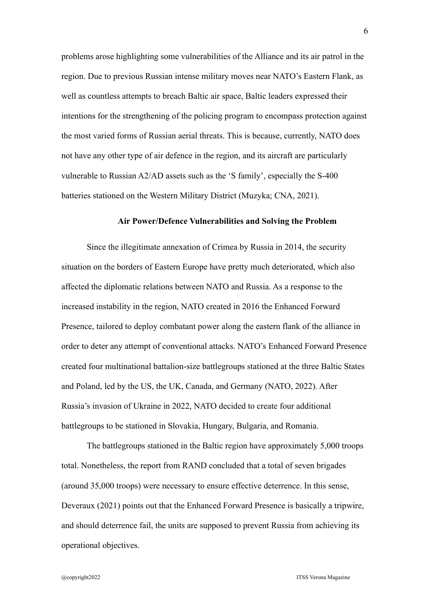problems arose highlighting some vulnerabilities of the Alliance and its air patrol in the region. Due to previous Russian intense military moves near NATO's Eastern Flank, as well as countless attempts to breach Baltic air space, Baltic leaders expressed their intentions for the strengthening of the policing program to encompass protection against the most varied forms of Russian aerial threats. This is because, currently, NATO does not have any other type of air defence in the region, and its aircraft are particularly vulnerable to Russian A2/AD assets such as the 'S family', especially the S-400 batteries stationed on the Western Military District (Muzyka; CNA, 2021).

#### **Air Power/Defence Vulnerabilities and Solving the Problem**

Since the illegitimate annexation of Crimea by Russia in 2014, the security situation on the borders of Eastern Europe have pretty much deteriorated, which also affected the diplomatic relations between NATO and Russia. As a response to the increased instability in the region, NATO created in 2016 the Enhanced Forward Presence, tailored to deploy combatant power along the eastern flank of the alliance in order to deter any attempt of conventional attacks. NATO's Enhanced Forward Presence created four multinational battalion-size battlegroups stationed at the three Baltic States and Poland, led by the US, the UK, Canada, and Germany (NATO, 2022). After Russia's invasion of Ukraine in 2022, NATO decided to create four additional battlegroups to be stationed in Slovakia, Hungary, Bulgaria, and Romania.

The battlegroups stationed in the Baltic region have approximately 5,000 troops total. Nonetheless, the report from RAND concluded that a total of seven brigades (around 35,000 troops) were necessary to ensure effective deterrence. In this sense, Deveraux (2021) points out that the Enhanced Forward Presence is basically a tripwire, and should deterrence fail, the units are supposed to prevent Russia from achieving its operational objectives.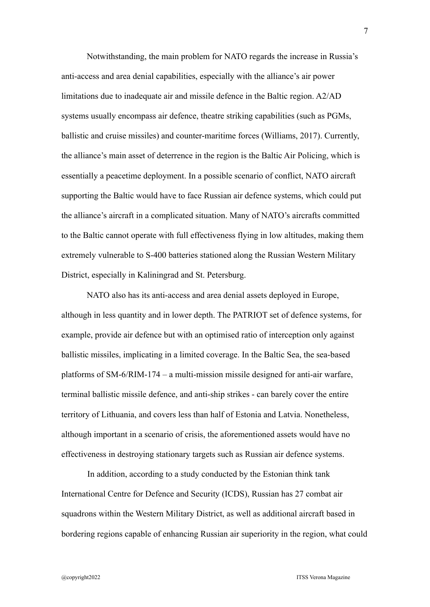Notwithstanding, the main problem for NATO regards the increase in Russia's anti-access and area denial capabilities, especially with the alliance's air power limitations due to inadequate air and missile defence in the Baltic region. A2/AD systems usually encompass air defence, theatre striking capabilities (such as PGMs, ballistic and cruise missiles) and counter-maritime forces (Williams, 2017). Currently, the alliance's main asset of deterrence in the region is the Baltic Air Policing, which is essentially a peacetime deployment. In a possible scenario of conflict, NATO aircraft supporting the Baltic would have to face Russian air defence systems, which could put the alliance's aircraft in a complicated situation. Many of NATO's aircrafts committed to the Baltic cannot operate with full effectiveness flying in low altitudes, making them extremely vulnerable to S-400 batteries stationed along the Russian Western Military District, especially in Kaliningrad and St. Petersburg.

NATO also has its anti-access and area denial assets deployed in Europe, although in less quantity and in lower depth. The PATRIOT set of defence systems, for example, provide air defence but with an optimised ratio of interception only against ballistic missiles, implicating in a limited coverage. In the Baltic Sea, the sea-based platforms of SM-6/RIM-174 – a multi-mission missile designed for anti-air warfare, terminal ballistic missile defence, and anti-ship strikes - can barely cover the entire territory of Lithuania, and covers less than half of Estonia and Latvia. Nonetheless, although important in a scenario of crisis, the aforementioned assets would have no effectiveness in destroying stationary targets such as Russian air defence systems.

In addition, according to a study conducted by the Estonian think tank International Centre for Defence and Security (ICDS), Russian has 27 combat air squadrons within the Western Military District, as well as additional aircraft based in bordering regions capable of enhancing Russian air superiority in the region, what could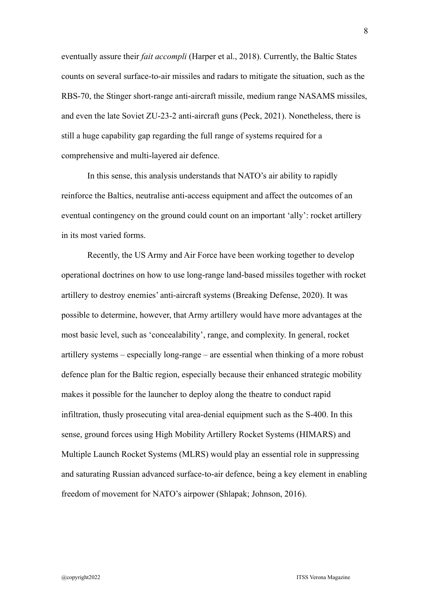eventually assure their *fait accompli* (Harper et al., 2018). Currently, the Baltic States counts on several surface-to-air missiles and radars to mitigate the situation, such as the RBS-70, the Stinger short-range anti-aircraft missile, medium range NASAMS missiles, and even the late Soviet ZU-23-2 anti-aircraft guns (Peck, 2021). Nonetheless, there is still a huge capability gap regarding the full range of systems required for a comprehensive and multi-layered air defence.

In this sense, this analysis understands that NATO's air ability to rapidly reinforce the Baltics, neutralise anti-access equipment and affect the outcomes of an eventual contingency on the ground could count on an important 'ally': rocket artillery in its most varied forms.

Recently, the US Army and Air Force have been working together to develop operational doctrines on how to use long-range land-based missiles together with rocket artillery to destroy enemies' anti-aircraft systems (Breaking Defense, 2020). It was possible to determine, however, that Army artillery would have more advantages at the most basic level, such as 'concealability', range, and complexity. In general, rocket artillery systems – especially long-range – are essential when thinking of a more robust defence plan for the Baltic region, especially because their enhanced strategic mobility makes it possible for the launcher to deploy along the theatre to conduct rapid infiltration, thusly prosecuting vital area-denial equipment such as the S-400. In this sense, ground forces using High Mobility Artillery Rocket Systems (HIMARS) and Multiple Launch Rocket Systems (MLRS) would play an essential role in suppressing and saturating Russian advanced surface-to-air defence, being a key element in enabling freedom of movement for NATO's airpower (Shlapak; Johnson, 2016).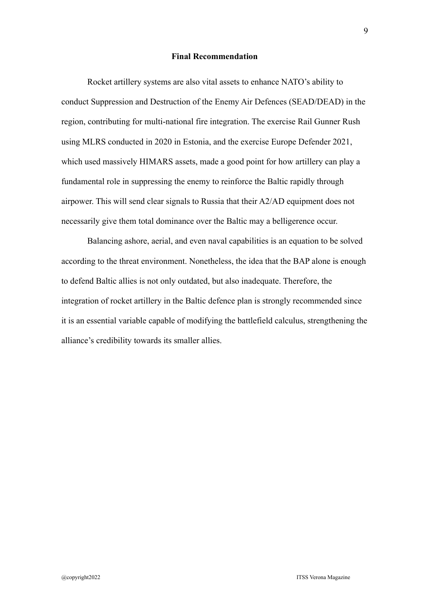## **Final Recommendation**

Rocket artillery systems are also vital assets to enhance NATO's ability to conduct Suppression and Destruction of the Enemy Air Defences (SEAD/DEAD) in the region, contributing for multi-national fire integration. The exercise Rail Gunner Rush using MLRS conducted in 2020 in Estonia, and the exercise Europe Defender 2021, which used massively HIMARS assets, made a good point for how artillery can play a fundamental role in suppressing the enemy to reinforce the Baltic rapidly through airpower. This will send clear signals to Russia that their A2/AD equipment does not necessarily give them total dominance over the Baltic may a belligerence occur.

Balancing ashore, aerial, and even naval capabilities is an equation to be solved according to the threat environment. Nonetheless, the idea that the BAP alone is enough to defend Baltic allies is not only outdated, but also inadequate. Therefore, the integration of rocket artillery in the Baltic defence plan is strongly recommended since it is an essential variable capable of modifying the battlefield calculus, strengthening the alliance's credibility towards its smaller allies.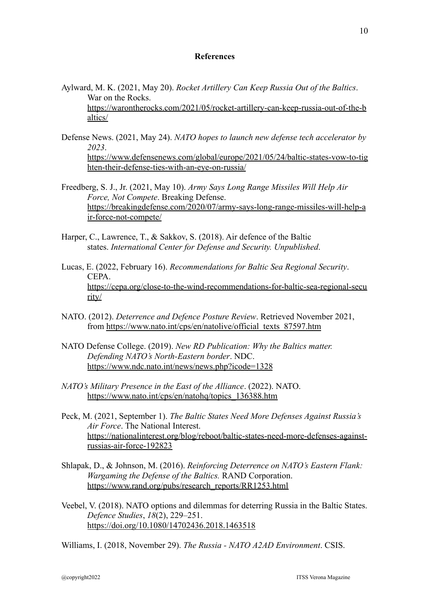### **References**

- Aylward, M. K. (2021, May 20). *Rocket Artillery Can Keep Russia Out of the Baltics*. War on the Rocks. [https://warontherocks.com/2021/05/rocket-artillery-can-keep-russia-out-of-the-b](https://warontherocks.com/2021/05/rocket-artillery-can-keep-russia-out-of-the-baltics/) [altics/](https://warontherocks.com/2021/05/rocket-artillery-can-keep-russia-out-of-the-baltics/)
- Defense News. (2021, May 24). *NATO hopes to launch new defense tech accelerator by 2023*. [https://www.defensenews.com/global/europe/2021/05/24/baltic-states-vow-to-tig](https://www.defensenews.com/global/europe/2021/05/24/baltic-states-vow-to-tighten-their-defense-ties-with-an-eye-on-russia/) [hten-their-defense-ties-with-an-eye-on-russia/](https://www.defensenews.com/global/europe/2021/05/24/baltic-states-vow-to-tighten-their-defense-ties-with-an-eye-on-russia/)
- Freedberg, S. J., Jr. (2021, May 10). *Army Says Long Range Missiles Will Help Air Force, Not Compete*. Breaking Defense. [https://breakingdefense.com/2020/07/army-says-long-range-missiles-will-help-a](https://breakingdefense.com/2020/07/army-says-long-range-missiles-will-help-air-force-not-compete/) [ir-force-not-compete/](https://breakingdefense.com/2020/07/army-says-long-range-missiles-will-help-air-force-not-compete/)
- Harper, C., Lawrence, T., & Sakkov, S. (2018). Air defence of the Baltic states. *International Center for Defense and Security. Unpublished*.
- Lucas, E. (2022, February 16). *Recommendations for Baltic Sea Regional Security*. **CEPA** [https://cepa.org/close-to-the-wind-recommendations-for-baltic-sea-regional-secu](https://cepa.org/close-to-the-wind-recommendations-for-baltic-sea-regional-security/) [rity/](https://cepa.org/close-to-the-wind-recommendations-for-baltic-sea-regional-security/)
- NATO. (2012). *Deterrence and Defence Posture Review*. Retrieved November 2021, from [https://www.nato.int/cps/en/natolive/official\\_texts\\_87597.htm](https://www.nato.int/cps/en/natolive/official_texts_87597.htm)
- NATO Defense College. (2019). *New RD Publication: Why the Baltics matter. Defending NATO's North-Eastern border*. NDC. <https://www.ndc.nato.int/news/news.php?icode=1328>
- *NATO's Military Presence in the East of the Alliance*. (2022). NATO. [https://www.nato.int/cps/en/natohq/topics\\_136388.htm](https://www.nato.int/cps/en/natohq/topics_136388.htm)
- Peck, M. (2021, September 1). *The Baltic States Need More Defenses Against Russia's Air Force*. The National Interest. [https://nationalinterest.org/blog/reboot/baltic-states-need-more-defenses-against](https://nationalinterest.org/blog/reboot/baltic-states-need-more-defenses-against-russias-air-force-192823)[russias-air-force-192823](https://nationalinterest.org/blog/reboot/baltic-states-need-more-defenses-against-russias-air-force-192823)
- Shlapak, D., & Johnson, M. (2016). *Reinforcing Deterrence on NATO's Eastern Flank: Wargaming the Defense of the Baltics.* RAND Corporation. [https://www.rand.org/pubs/research\\_reports/RR1253.html](https://www.rand.org/pubs/research_reports/RR1253.html)
- Veebel, V. (2018). NATO options and dilemmas for deterring Russia in the Baltic States. *Defence Studies*, *18*(2), 229–251. <https://doi.org/10.1080/14702436.2018.1463518>

Williams, I. (2018, November 29). *The Russia - NATO A2AD Environment*. CSIS.